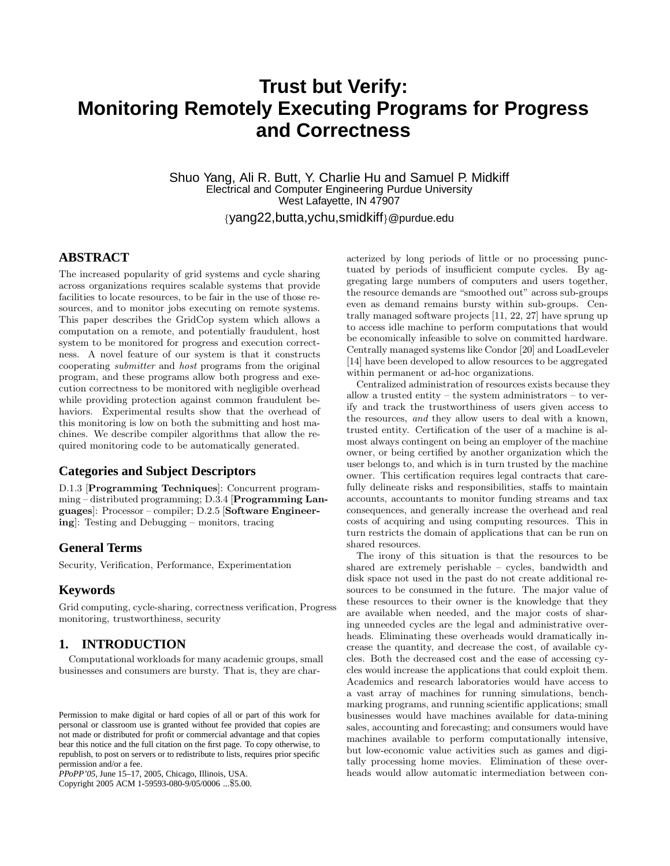# **Trust but Verify: Monitoring Remotely Executing Programs for Progress and Correctness**

Shuo Yang, Ali R. Butt, Y. Charlie Hu and Samuel P. Midkiff Electrical and Computer Engineering Purdue University West Lafayette, IN 47907

{yang22,butta,ychu,smidkiff}@purdue.edu

## **ABSTRACT**

The increased popularity of grid systems and cycle sharing across organizations requires scalable systems that provide facilities to locate resources, to be fair in the use of those resources, and to monitor jobs executing on remote systems. This paper describes the GridCop system which allows a computation on a remote, and potentially fraudulent, host system to be monitored for progress and execution correctness. A novel feature of our system is that it constructs cooperating submitter and host programs from the original program, and these programs allow both progress and execution correctness to be monitored with negligible overhead while providing protection against common fraudulent behaviors. Experimental results show that the overhead of this monitoring is low on both the submitting and host machines. We describe compiler algorithms that allow the required monitoring code to be automatically generated.

# **Categories and Subject Descriptors**

D.1.3 [Programming Techniques]: Concurrent programming – distributed programming; D.3.4 [Programming Languages]: Processor – compiler; D.2.5 [Software Engineering]: Testing and Debugging – monitors, tracing

## **General Terms**

Security, Verification, Performance, Experimentation

## **Keywords**

Grid computing, cycle-sharing, correctness verification, Progress monitoring, trustworthiness, security

# **1. INTRODUCTION**

Computational workloads for many academic groups, small businesses and consumers are bursty. That is, they are char-

Copyright 2005 ACM 1-59593-080-9/05/0006 ...\$5.00.

acterized by long periods of little or no processing punctuated by periods of insufficient compute cycles. By aggregating large numbers of computers and users together, the resource demands are "smoothed out" across sub-groups even as demand remains bursty within sub-groups. Centrally managed software projects [11, 22, 27] have sprung up to access idle machine to perform computations that would be economically infeasible to solve on committed hardware. Centrally managed systems like Condor [20] and LoadLeveler [14] have been developed to allow resources to be aggregated within permanent or ad-hoc organizations.

Centralized administration of resources exists because they allow a trusted entity – the system administrators – to verify and track the trustworthiness of users given access to the resources, and they allow users to deal with a known, trusted entity. Certification of the user of a machine is almost always contingent on being an employer of the machine owner, or being certified by another organization which the user belongs to, and which is in turn trusted by the machine owner. This certification requires legal contracts that carefully delineate risks and responsibilities, staffs to maintain accounts, accountants to monitor funding streams and tax consequences, and generally increase the overhead and real costs of acquiring and using computing resources. This in turn restricts the domain of applications that can be run on shared resources.

The irony of this situation is that the resources to be shared are extremely perishable – cycles, bandwidth and disk space not used in the past do not create additional resources to be consumed in the future. The major value of these resources to their owner is the knowledge that they are available when needed, and the major costs of sharing unneeded cycles are the legal and administrative overheads. Eliminating these overheads would dramatically increase the quantity, and decrease the cost, of available cycles. Both the decreased cost and the ease of accessing cycles would increase the applications that could exploit them. Academics and research laboratories would have access to a vast array of machines for running simulations, benchmarking programs, and running scientific applications; small businesses would have machines available for data-mining sales, accounting and forecasting; and consumers would have machines available to perform computationally intensive, but low-economic value activities such as games and digitally processing home movies. Elimination of these overheads would allow automatic intermediation between con-

Permission to make digital or hard copies of all or part of this work for personal or classroom use is granted without fee provided that copies are not made or distributed for profit or commercial advantage and that copies bear this notice and the full citation on the first page. To copy otherwise, to republish, to post on servers or to redistribute to lists, requires prior specific permission and/or a fee.

*PPoPP'05,* June 15–17, 2005, Chicago, Illinois, USA.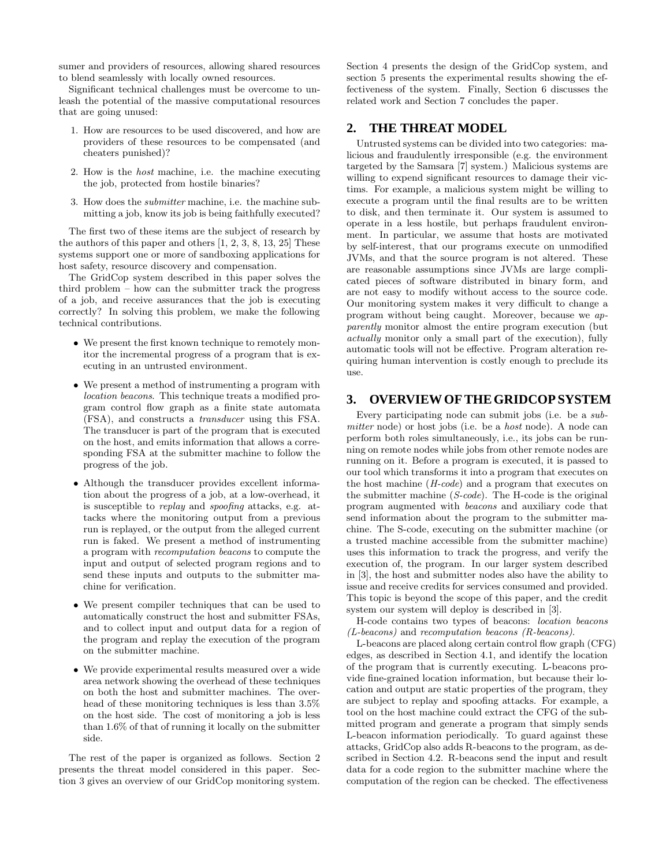sumer and providers of resources, allowing shared resources to blend seamlessly with locally owned resources.

Significant technical challenges must be overcome to unleash the potential of the massive computational resources that are going unused:

- 1. How are resources to be used discovered, and how are providers of these resources to be compensated (and cheaters punished)?
- 2. How is the host machine, i.e. the machine executing the job, protected from hostile binaries?
- 3. How does the submitter machine, i.e. the machine submitting a job, know its job is being faithfully executed?

The first two of these items are the subject of research by the authors of this paper and others [1, 2, 3, 8, 13, 25] These systems support one or more of sandboxing applications for host safety, resource discovery and compensation.

The GridCop system described in this paper solves the third problem – how can the submitter track the progress of a job, and receive assurances that the job is executing correctly? In solving this problem, we make the following technical contributions.

- We present the first known technique to remotely monitor the incremental progress of a program that is executing in an untrusted environment.
- We present a method of instrumenting a program with location beacons. This technique treats a modified program control flow graph as a finite state automata (FSA), and constructs a transducer using this FSA. The transducer is part of the program that is executed on the host, and emits information that allows a corresponding FSA at the submitter machine to follow the progress of the job.
- Although the transducer provides excellent information about the progress of a job, at a low-overhead, it is susceptible to replay and spoofing attacks, e.g. attacks where the monitoring output from a previous run is replayed, or the output from the alleged current run is faked. We present a method of instrumenting a program with recomputation beacons to compute the input and output of selected program regions and to send these inputs and outputs to the submitter machine for verification.
- We present compiler techniques that can be used to automatically construct the host and submitter FSAs, and to collect input and output data for a region of the program and replay the execution of the program on the submitter machine.
- We provide experimental results measured over a wide area network showing the overhead of these techniques on both the host and submitter machines. The overhead of these monitoring techniques is less than 3.5% on the host side. The cost of monitoring a job is less than 1.6% of that of running it locally on the submitter side.

The rest of the paper is organized as follows. Section 2 presents the threat model considered in this paper. Section 3 gives an overview of our GridCop monitoring system. Section 4 presents the design of the GridCop system, and section 5 presents the experimental results showing the effectiveness of the system. Finally, Section 6 discusses the related work and Section 7 concludes the paper.

# **2. THE THREAT MODEL**

Untrusted systems can be divided into two categories: malicious and fraudulently irresponsible (e.g. the environment targeted by the Samsara [7] system.) Malicious systems are willing to expend significant resources to damage their victims. For example, a malicious system might be willing to execute a program until the final results are to be written to disk, and then terminate it. Our system is assumed to operate in a less hostile, but perhaps fraudulent environment. In particular, we assume that hosts are motivated by self-interest, that our programs execute on unmodified JVMs, and that the source program is not altered. These are reasonable assumptions since JVMs are large complicated pieces of software distributed in binary form, and are not easy to modify without access to the source code. Our monitoring system makes it very difficult to change a program without being caught. Moreover, because we apparently monitor almost the entire program execution (but actually monitor only a small part of the execution), fully automatic tools will not be effective. Program alteration requiring human intervention is costly enough to preclude its use.

# **3. OVERVIEWOFTHEGRIDCOPSYSTEM**

Every participating node can submit jobs (i.e. be a submitter node) or host jobs (i.e. be a *host* node). A node can perform both roles simultaneously, i.e., its jobs can be running on remote nodes while jobs from other remote nodes are running on it. Before a program is executed, it is passed to our tool which transforms it into a program that executes on the host machine (H-code) and a program that executes on the submitter machine  $(S\text{-}code)$ . The H-code is the original program augmented with beacons and auxiliary code that send information about the program to the submitter machine. The S-code, executing on the submitter machine (or a trusted machine accessible from the submitter machine) uses this information to track the progress, and verify the execution of, the program. In our larger system described in [3], the host and submitter nodes also have the ability to issue and receive credits for services consumed and provided. This topic is beyond the scope of this paper, and the credit system our system will deploy is described in [3].

H-code contains two types of beacons: location beacons (L-beacons) and recomputation beacons (R-beacons).

L-beacons are placed along certain control flow graph (CFG) edges, as described in Section 4.1, and identify the location of the program that is currently executing. L-beacons provide fine-grained location information, but because their location and output are static properties of the program, they are subject to replay and spoofing attacks. For example, a tool on the host machine could extract the CFG of the submitted program and generate a program that simply sends L-beacon information periodically. To guard against these attacks, GridCop also adds R-beacons to the program, as described in Section 4.2. R-beacons send the input and result data for a code region to the submitter machine where the computation of the region can be checked. The effectiveness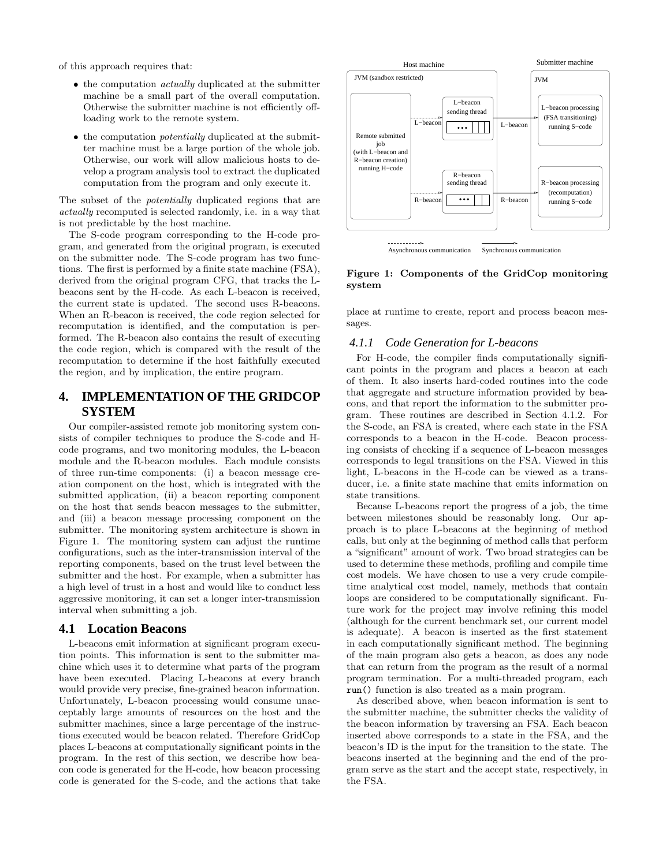of this approach requires that:

- the computation *actually* duplicated at the submitter machine be a small part of the overall computation. Otherwise the submitter machine is not efficiently offloading work to the remote system.
- the computation *potentially* duplicated at the submitter machine must be a large portion of the whole job. Otherwise, our work will allow malicious hosts to develop a program analysis tool to extract the duplicated computation from the program and only execute it.

The subset of the potentially duplicated regions that are actually recomputed is selected randomly, i.e. in a way that is not predictable by the host machine.

The S-code program corresponding to the H-code program, and generated from the original program, is executed on the submitter node. The S-code program has two functions. The first is performed by a finite state machine (FSA), derived from the original program CFG, that tracks the Lbeacons sent by the H-code. As each L-beacon is received, the current state is updated. The second uses R-beacons. When an R-beacon is received, the code region selected for recomputation is identified, and the computation is performed. The R-beacon also contains the result of executing the code region, which is compared with the result of the recomputation to determine if the host faithfully executed the region, and by implication, the entire program.

# **4. IMPLEMENTATION OF THE GRIDCOP SYSTEM**

Our compiler-assisted remote job monitoring system consists of compiler techniques to produce the S-code and Hcode programs, and two monitoring modules, the L-beacon module and the R-beacon modules. Each module consists of three run-time components: (i) a beacon message creation component on the host, which is integrated with the submitted application, (ii) a beacon reporting component on the host that sends beacon messages to the submitter, and (iii) a beacon message processing component on the submitter. The monitoring system architecture is shown in Figure 1. The monitoring system can adjust the runtime configurations, such as the inter-transmission interval of the reporting components, based on the trust level between the submitter and the host. For example, when a submitter has a high level of trust in a host and would like to conduct less aggressive monitoring, it can set a longer inter-transmission interval when submitting a job.

#### **4.1 Location Beacons**

L-beacons emit information at significant program execution points. This information is sent to the submitter machine which uses it to determine what parts of the program have been executed. Placing L-beacons at every branch would provide very precise, fine-grained beacon information. Unfortunately, L-beacon processing would consume unacceptably large amounts of resources on the host and the submitter machines, since a large percentage of the instructions executed would be beacon related. Therefore GridCop places L-beacons at computationally significant points in the program. In the rest of this section, we describe how beacon code is generated for the H-code, how beacon processing code is generated for the S-code, and the actions that take



Asynchronous communication Synchronous communication

#### Figure 1: Components of the GridCop monitoring system

place at runtime to create, report and process beacon messages.

#### *4.1.1 Code Generation for L-beacons*

For H-code, the compiler finds computationally significant points in the program and places a beacon at each of them. It also inserts hard-coded routines into the code that aggregate and structure information provided by beacons, and that report the information to the submitter program. These routines are described in Section 4.1.2. For the S-code, an FSA is created, where each state in the FSA corresponds to a beacon in the H-code. Beacon processing consists of checking if a sequence of L-beacon messages corresponds to legal transitions on the FSA. Viewed in this light, L-beacons in the H-code can be viewed as a transducer, i.e. a finite state machine that emits information on state transitions.

Because L-beacons report the progress of a job, the time between milestones should be reasonably long. Our approach is to place L-beacons at the beginning of method calls, but only at the beginning of method calls that perform a "significant" amount of work. Two broad strategies can be used to determine these methods, profiling and compile time cost models. We have chosen to use a very crude compiletime analytical cost model, namely, methods that contain loops are considered to be computationally significant. Future work for the project may involve refining this model (although for the current benchmark set, our current model is adequate). A beacon is inserted as the first statement in each computationally significant method. The beginning of the main program also gets a beacon, as does any node that can return from the program as the result of a normal program termination. For a multi-threaded program, each run() function is also treated as a main program.

As described above, when beacon information is sent to the submitter machine, the submitter checks the validity of the beacon information by traversing an FSA. Each beacon inserted above corresponds to a state in the FSA, and the beacon's ID is the input for the transition to the state. The beacons inserted at the beginning and the end of the program serve as the start and the accept state, respectively, in the FSA.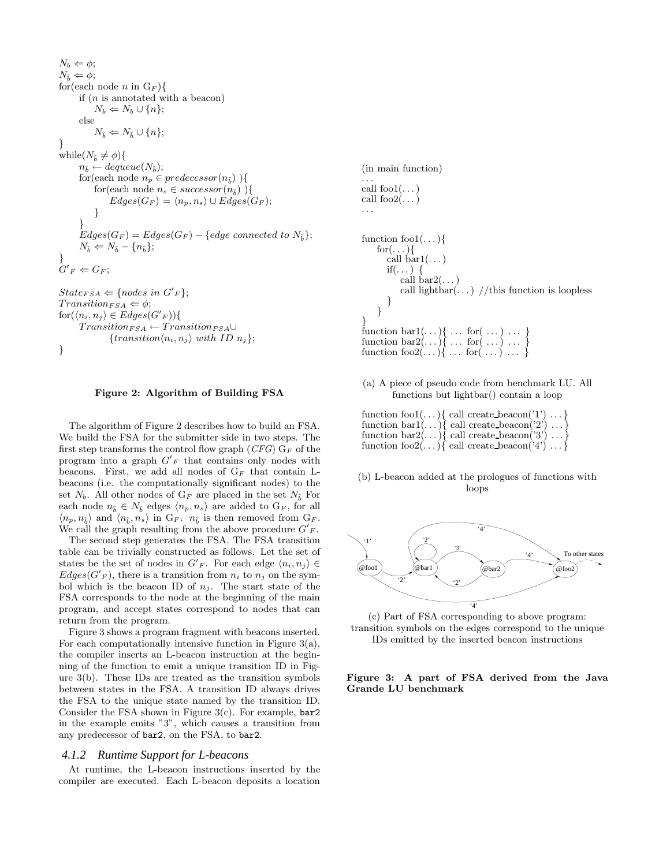$N_b \Leftarrow \phi$ ;  $N_{\tilde{b}} \Leftarrow \phi$ ; for(each node n in  $G_F$ ){ if  $(n$  is annotated with a beacon)  $N_b \Leftarrow N_b \cup \{n\};$ else  $N_{\tilde{b}} \Leftarrow N_{\tilde{b}} \cup \{n\};$ } while( $N_{\tilde{b}} \neq \phi$ ){  $n_{\tilde{b}} \leftarrow \text{dequeue}(N_{\tilde{b}});$ for(each node  $n_p \in predecessor(n_{\tilde{b}})$ ){ for(each node  $n_s \in successor(n_{\tilde{b}})$ ){  $Edges(G_F) = \langle n_p, n_s \rangle \cup Edges(G_F);$ } }  $Edges(G_F) = Edges(G_F) - \{edge concepted to N_{\tilde{b}}\};$  $N_{\tilde{b}} \Leftarrow N_{\tilde{b}} - \{n_{\tilde{b}}\};$ }  $G'_{F} \Leftarrow G_{F};$  $State_{FSA} \Leftarrow \{nodes\ in\ G'_{F}\};$  $Transition_{FSA} \Leftarrow \phi;$  $for(\langle n_i, n_j \rangle \in Edges(G'_{F}))\{$  $\label{eq:transitions} Transition_{FSA} \gets Transition_{FSA} \cup$ 

#### Figure 2: Algorithm of Building FSA

{transition $\langle n_i, n_j \rangle$  with ID  $n_j$ };

}

The algorithm of Figure 2 describes how to build an FSA. We build the FSA for the submitter side in two steps. The first step transforms the control flow graph ( $CFG$ )  $G_F$  of the program into a graph  $G'_{F}$  that contains only nodes with beacons. First, we add all nodes of  $G_F$  that contain Lbeacons (i.e. the computationally significant nodes) to the set  $N_b$ . All other nodes of  $G_F$  are placed in the set  $N_{\tilde{b}}$  For each node  $n_{\tilde{b}} \in N_{\tilde{b}}$  edges  $\langle n_p, n_s \rangle$  are added to  $G_F$ , for all  $\langle n_p, n_{\tilde{b}} \rangle$  and  $\langle n_{\tilde{b}}, n_s \rangle$  in  $G_F$ .  $n_{\tilde{b}}$  is then removed from  $G_F$ . We call the graph resulting from the above procedure  $G'_{F}$ .

The second step generates the FSA. The FSA transition table can be trivially constructed as follows. Let the set of states be the set of nodes in  $G'_{F}$ . For each edge  $\langle n_i, n_j \rangle \in$  $Edges(G'_{F})$ , there is a transition from  $n_i$  to  $n_j$  on the symbol which is the beacon ID of  $n_j$ . The start state of the FSA corresponds to the node at the beginning of the main program, and accept states correspond to nodes that can return from the program.

Figure 3 shows a program fragment with beacons inserted. For each computationally intensive function in Figure 3(a), the compiler inserts an L-beacon instruction at the beginning of the function to emit a unique transition ID in Figure 3(b). These IDs are treated as the transition symbols between states in the FSA. A transition ID always drives the FSA to the unique state named by the transition ID. Consider the FSA shown in Figure  $3(c)$ . For example,  $bar2$ in the example emits "3", which causes a transition from any predecessor of bar2, on the FSA, to bar2.

#### *4.1.2 Runtime Support for L-beacons*

At runtime, the L-beacon instructions inserted by the compiler are executed. Each L-beacon deposits a location



(a) A piece of pseudo code from benchmark LU. All functions but lightbar() contain a loop

- function foo $1(\ldots)$  call create beacon('1')  $\ldots$ } function bar1(...) { call create beacon('2') ...} function  $bar(2(\dots)$  { call create beacon('3')  $\dots$  } function foo2(...){ call create\_beacon('4') ...}
- (b) L-beacon added at the prologues of functions with loops



(c) Part of FSA corresponding to above program: transition symbols on the edges correspond to the unique IDs emitted by the inserted beacon instructions

#### Figure 3: A part of FSA derived from the Java Grande LU benchmark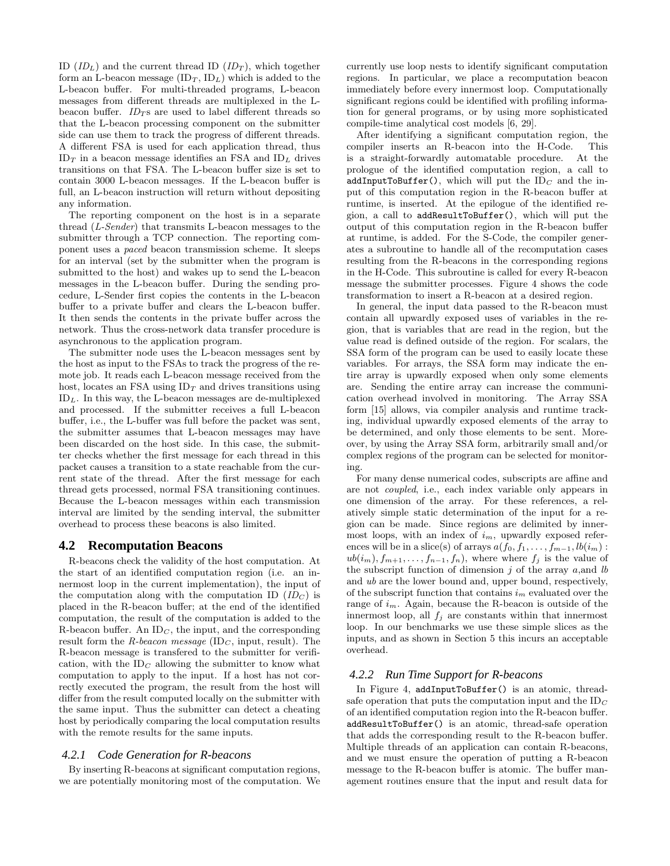ID  $(ID_L)$  and the current thread ID  $(ID_T)$ , which together form an L-beacon message  $(ID_T, ID_L)$  which is added to the L-beacon buffer. For multi-threaded programs, L-beacon messages from different threads are multiplexed in the Lbeacon buffer.  $ID_Ts$  are used to label different threads so that the L-beacon processing component on the submitter side can use them to track the progress of different threads. A different FSA is used for each application thread, thus  $ID<sub>T</sub>$  in a beacon message identifies an FSA and  $ID<sub>L</sub>$  drives transitions on that FSA. The L-beacon buffer size is set to contain 3000 L-beacon messages. If the L-beacon buffer is full, an L-beacon instruction will return without depositing any information.

The reporting component on the host is in a separate thread (L-Sender) that transmits L-beacon messages to the submitter through a TCP connection. The reporting component uses a paced beacon transmission scheme. It sleeps for an interval (set by the submitter when the program is submitted to the host) and wakes up to send the L-beacon messages in the L-beacon buffer. During the sending procedure, L-Sender first copies the contents in the L-beacon buffer to a private buffer and clears the L-beacon buffer. It then sends the contents in the private buffer across the network. Thus the cross-network data transfer procedure is asynchronous to the application program.

The submitter node uses the L-beacon messages sent by the host as input to the FSAs to track the progress of the remote job. It reads each L-beacon message received from the host, locates an FSA using  $ID_T$  and drives transitions using  $ID<sub>L</sub>$ . In this way, the L-beacon messages are de-multiplexed and processed. If the submitter receives a full L-beacon buffer, i.e., the L-buffer was full before the packet was sent, the submitter assumes that L-beacon messages may have been discarded on the host side. In this case, the submitter checks whether the first message for each thread in this packet causes a transition to a state reachable from the current state of the thread. After the first message for each thread gets processed, normal FSA transitioning continues. Because the L-beacon messages within each transmission interval are limited by the sending interval, the submitter overhead to process these beacons is also limited.

## **4.2 Recomputation Beacons**

R-beacons check the validity of the host computation. At the start of an identified computation region (i.e. an innermost loop in the current implementation), the input of the computation along with the computation ID  $(ID_C)$  is placed in the R-beacon buffer; at the end of the identified computation, the result of the computation is added to the R-beacon buffer. An  $ID_C$ , the input, and the corresponding result form the R-beacon message (ID<sub>C</sub>, input, result). The R-beacon message is transfered to the submitter for verification, with the  $ID<sub>C</sub>$  allowing the submitter to know what computation to apply to the input. If a host has not correctly executed the program, the result from the host will differ from the result computed locally on the submitter with the same input. Thus the submitter can detect a cheating host by periodically comparing the local computation results with the remote results for the same inputs.

#### *4.2.1 Code Generation for R-beacons*

By inserting R-beacons at significant computation regions, we are potentially monitoring most of the computation. We currently use loop nests to identify significant computation regions. In particular, we place a recomputation beacon immediately before every innermost loop. Computationally significant regions could be identified with profiling information for general programs, or by using more sophisticated compile-time analytical cost models [6, 29].

After identifying a significant computation region, the compiler inserts an R-beacon into the H-Code. This is a straight-forwardly automatable procedure. At the prologue of the identified computation region, a call to addInputToBuffer(), which will put the  $ID_C$  and the input of this computation region in the R-beacon buffer at runtime, is inserted. At the epilogue of the identified region, a call to addResultToBuffer(), which will put the output of this computation region in the R-beacon buffer at runtime, is added. For the S-Code, the compiler generates a subroutine to handle all of the recomputation cases resulting from the R-beacons in the corresponding regions in the H-Code. This subroutine is called for every R-beacon message the submitter processes. Figure 4 shows the code transformation to insert a R-beacon at a desired region.

In general, the input data passed to the R-beacon must contain all upwardly exposed uses of variables in the region, that is variables that are read in the region, but the value read is defined outside of the region. For scalars, the SSA form of the program can be used to easily locate these variables. For arrays, the SSA form may indicate the entire array is upwardly exposed when only some elements are. Sending the entire array can increase the communication overhead involved in monitoring. The Array SSA form [15] allows, via compiler analysis and runtime tracking, individual upwardly exposed elements of the array to be determined, and only those elements to be sent. Moreover, by using the Array SSA form, arbitrarily small and/or complex regions of the program can be selected for monitoring.

For many dense numerical codes, subscripts are affine and are not coupled, i.e., each index variable only appears in one dimension of the array. For these references, a relatively simple static determination of the input for a region can be made. Since regions are delimited by innermost loops, with an index of  $i<sub>m</sub>$ , upwardly exposed references will be in a slice(s) of arrays  $a(f_0, f_1, \ldots, f_{m-1}, lb(i_m)$ :  $ub(i_m), f_{m+1}, \ldots, f_{n-1}, f_n),$  where where  $f_j$  is the value of the subscript function of dimension  $j$  of the array  $a$ , and  $lb$ and ub are the lower bound and, upper bound, respectively, of the subscript function that contains  $i_m$  evaluated over the range of  $i_m$ . Again, because the R-beacon is outside of the innermost loop, all  $f_j$  are constants within that innermost loop. In our benchmarks we use these simple slices as the inputs, and as shown in Section 5 this incurs an acceptable overhead.

#### *4.2.2 Run Time Support for R-beacons*

In Figure 4, addInputToBuffer() is an atomic, threadsafe operation that puts the computation input and the  $ID<sub>C</sub>$ of an identified computation region into the R-beacon buffer. addResultToBuffer() is an atomic, thread-safe operation that adds the corresponding result to the R-beacon buffer. Multiple threads of an application can contain R-beacons, and we must ensure the operation of putting a R-beacon message to the R-beacon buffer is atomic. The buffer management routines ensure that the input and result data for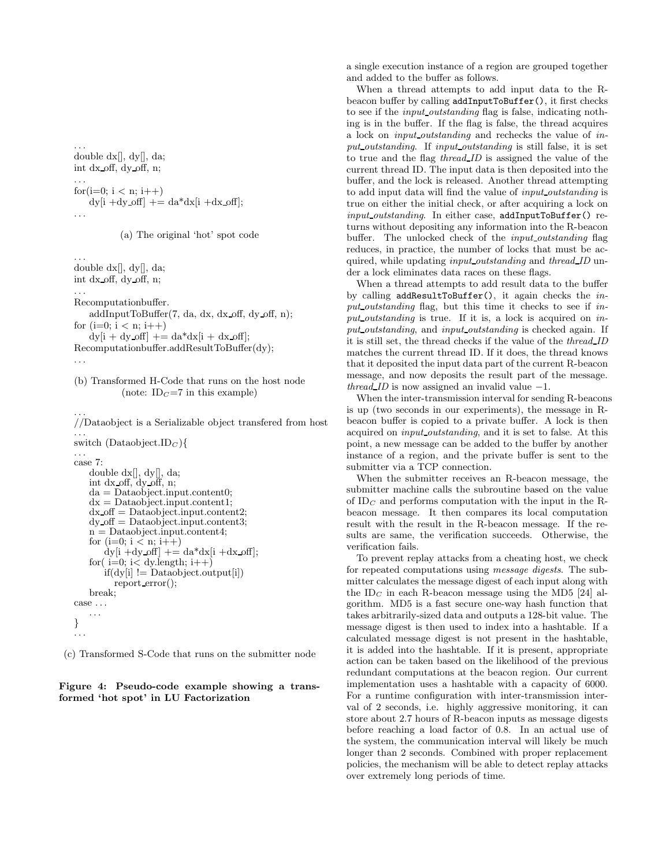. . . double dx[], dy[], da; int dx off, dy off, n; . . . for(i=0; i < n; i++)  $dy[i + dy of] += da * dx[i + dx of]$ ; . . . (a) The original 'hot' spot code . . . double dx[], dy[], da; int dx off, dy off, n; . . .

Recomputationbuffer. addInputToBuffer(7, da, dx, dx off, dy off, n); for  $(i=0; i < n; i++)$  $dy[i + dy of] += da*dx[i + dx of]$ ;

```
Recomputationbuffer.addResultToBuffer(dy);
. . .
```
(b) Transformed H-Code that runs on the host node (note: ID $_C$ =7 in this example)

. . . //Dataobject is a Serializable object transfered from host . . .

```
switch (Dataobject.ID<sub>C</sub>). . .
case 7:
   double dx[, dy[, da;int dx off, dy off, n;
   da = Dataobject.input.content0;
   dx =Dataobject.input.content1;
   dx off = Dataobject.input.content2;
   dy off = Dataobject.input.content3;
   n =Dataobject.input.content4;
   for (i=0; i < n; i++)dy[i + dy of] + = da^*dx[i + dx of];
   for(i=0; i< dy.length; i++)
       if(dy[i] != Dataobject.output[i])report error();
   break;
case . . .
    . . .
}
. . .
```
(c) Transformed S-Code that runs on the submitter node

Figure 4: Pseudo-code example showing a transformed 'hot spot' in LU Factorization

a single execution instance of a region are grouped together and added to the buffer as follows.

When a thread attempts to add input data to the Rbeacon buffer by calling addInputToBuffer(), it first checks to see if the *input*-outstanding flag is false, indicating nothing is in the buffer. If the flag is false, the thread acquires a lock on input outstanding and rechecks the value of input outstanding. If input outstanding is still false, it is set to true and the flag thread ID is assigned the value of the current thread ID. The input data is then deposited into the buffer, and the lock is released. Another thread attempting to add input data will find the value of input outstanding is true on either the initial check, or after acquiring a lock on input\_outstanding. In either case, addInputToBuffer() returns without depositing any information into the R-beacon buffer. The unlocked check of the *input\_outstanding* flag reduces, in practice, the number of locks that must be acquired, while updating *input outstanding* and *thread ID* under a lock eliminates data races on these flags.

When a thread attempts to add result data to the buffer by calling addResultToBuffer(), it again checks the input outstanding flag, but this time it checks to see if input outstanding is true. If it is, a lock is acquired on input outstanding, and input outstanding is checked again. If it is still set, the thread checks if the value of the thread ID matches the current thread ID. If it does, the thread knows that it deposited the input data part of the current R-beacon message, and now deposits the result part of the message. *thread* ID is now assigned an invalid value  $-1$ .

When the inter-transmission interval for sending R-beacons is up (two seconds in our experiments), the message in Rbeacon buffer is copied to a private buffer. A lock is then acquired on *input\_outstanding*, and it is set to false. At this point, a new message can be added to the buffer by another instance of a region, and the private buffer is sent to the submitter via a TCP connection.

When the submitter receives an R-beacon message, the submitter machine calls the subroutine based on the value of ID<sub>C</sub> and performs computation with the input in the Rbeacon message. It then compares its local computation result with the result in the R-beacon message. If the results are same, the verification succeeds. Otherwise, the verification fails.

To prevent replay attacks from a cheating host, we check for repeated computations using message digests. The submitter calculates the message digest of each input along with the  $ID_C$  in each R-beacon message using the MD5 [24] algorithm. MD5 is a fast secure one-way hash function that takes arbitrarily-sized data and outputs a 128-bit value. The message digest is then used to index into a hashtable. If a calculated message digest is not present in the hashtable, it is added into the hashtable. If it is present, appropriate action can be taken based on the likelihood of the previous redundant computations at the beacon region. Our current implementation uses a hashtable with a capacity of 6000. For a runtime configuration with inter-transmission interval of 2 seconds, i.e. highly aggressive monitoring, it can store about 2.7 hours of R-beacon inputs as message digests before reaching a load factor of 0.8. In an actual use of the system, the communication interval will likely be much longer than 2 seconds. Combined with proper replacement policies, the mechanism will be able to detect replay attacks over extremely long periods of time.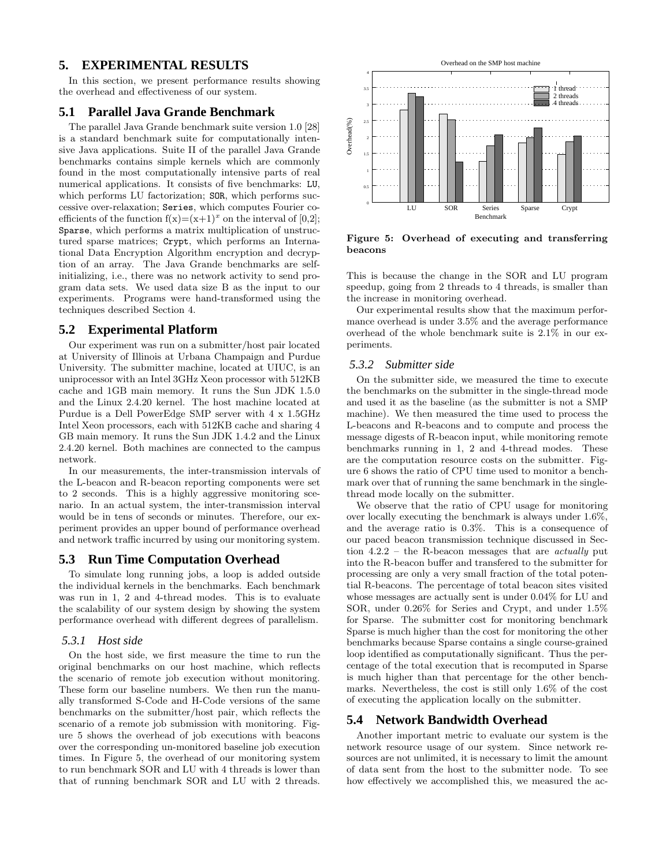# **5. EXPERIMENTAL RESULTS**

In this section, we present performance results showing the overhead and effectiveness of our system.

#### **5.1 Parallel Java Grande Benchmark**

The parallel Java Grande benchmark suite version 1.0 [28] is a standard benchmark suite for computationally intensive Java applications. Suite II of the parallel Java Grande benchmarks contains simple kernels which are commonly found in the most computationally intensive parts of real numerical applications. It consists of five benchmarks: LU, which performs LU factorization; SOR, which performs successive over-relaxation; Series, which computes Fourier coefficients of the function  $f(x)=(x+1)^x$  on the interval of [0,2]; Sparse, which performs a matrix multiplication of unstructured sparse matrices; Crypt, which performs an International Data Encryption Algorithm encryption and decryption of an array. The Java Grande benchmarks are selfinitializing, i.e., there was no network activity to send program data sets. We used data size B as the input to our experiments. Programs were hand-transformed using the techniques described Section 4.

## **5.2 Experimental Platform**

Our experiment was run on a submitter/host pair located at University of Illinois at Urbana Champaign and Purdue University. The submitter machine, located at UIUC, is an uniprocessor with an Intel 3GHz Xeon processor with 512KB cache and 1GB main memory. It runs the Sun JDK 1.5.0 and the Linux 2.4.20 kernel. The host machine located at Purdue is a Dell PowerEdge SMP server with 4 x 1.5GHz Intel Xeon processors, each with 512KB cache and sharing 4 GB main memory. It runs the Sun JDK 1.4.2 and the Linux 2.4.20 kernel. Both machines are connected to the campus network.

In our measurements, the inter-transmission intervals of the L-beacon and R-beacon reporting components were set to 2 seconds. This is a highly aggressive monitoring scenario. In an actual system, the inter-transmission interval would be in tens of seconds or minutes. Therefore, our experiment provides an upper bound of performance overhead and network traffic incurred by using our monitoring system.

## **5.3 Run Time Computation Overhead**

To simulate long running jobs, a loop is added outside the individual kernels in the benchmarks. Each benchmark was run in 1, 2 and 4-thread modes. This is to evaluate the scalability of our system design by showing the system performance overhead with different degrees of parallelism.

## *5.3.1 Host side*

On the host side, we first measure the time to run the original benchmarks on our host machine, which reflects the scenario of remote job execution without monitoring. These form our baseline numbers. We then run the manually transformed S-Code and H-Code versions of the same benchmarks on the submitter/host pair, which reflects the scenario of a remote job submission with monitoring. Figure 5 shows the overhead of job executions with beacons over the corresponding un-monitored baseline job execution times. In Figure 5, the overhead of our monitoring system to run benchmark SOR and LU with 4 threads is lower than that of running benchmark SOR and LU with 2 threads.



Figure 5: Overhead of executing and transferring beacons

This is because the change in the SOR and LU program speedup, going from 2 threads to 4 threads, is smaller than the increase in monitoring overhead.

Our experimental results show that the maximum performance overhead is under 3.5% and the average performance overhead of the whole benchmark suite is 2.1% in our experiments.

#### *5.3.2 Submitter side*

On the submitter side, we measured the time to execute the benchmarks on the submitter in the single-thread mode and used it as the baseline (as the submitter is not a SMP machine). We then measured the time used to process the L-beacons and R-beacons and to compute and process the message digests of R-beacon input, while monitoring remote benchmarks running in 1, 2 and 4-thread modes. These are the computation resource costs on the submitter. Figure 6 shows the ratio of CPU time used to monitor a benchmark over that of running the same benchmark in the singlethread mode locally on the submitter.

We observe that the ratio of CPU usage for monitoring over locally executing the benchmark is always under 1.6%, and the average ratio is 0.3%. This is a consequence of our paced beacon transmission technique discussed in Section  $4.2.2$  – the R-beacon messages that are *actually* put into the R-beacon buffer and transfered to the submitter for processing are only a very small fraction of the total potential R-beacons. The percentage of total beacon sites visited whose messages are actually sent is under 0.04% for LU and SOR, under 0.26% for Series and Crypt, and under 1.5% for Sparse. The submitter cost for monitoring benchmark Sparse is much higher than the cost for monitoring the other benchmarks because Sparse contains a single course-grained loop identified as computationally significant. Thus the percentage of the total execution that is recomputed in Sparse is much higher than that percentage for the other benchmarks. Nevertheless, the cost is still only 1.6% of the cost of executing the application locally on the submitter.

## **5.4 Network Bandwidth Overhead**

Another important metric to evaluate our system is the network resource usage of our system. Since network resources are not unlimited, it is necessary to limit the amount of data sent from the host to the submitter node. To see how effectively we accomplished this, we measured the ac-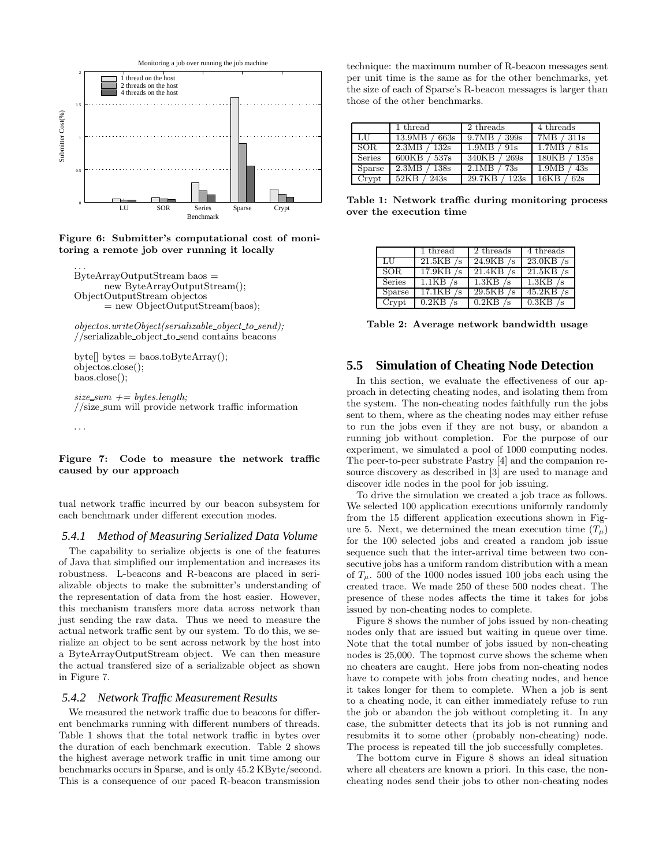

Figure 6: Submitter's computational cost of monitoring a remote job over running it locally

. . . ByteArrayOutputStream baos = new ByteArrayOutputStream(); ObjectOutputStream objectos = new ObjectOutputStream(baos);

 $objectos.writeObject(serializable\_object\_to\_send);$ //serializable object to send contains beacons

```
byte\parallel bytes = baos.toByteArray();
objectos.close();
baos.close();
```
. . .

size\_sum  $+=$  bytes.length; //size sum will provide network traffic information

Figure 7: Code to measure the network traffic

each benchmark under different execution modes.

caused by our approach

tual network traffic incurred by our beacon subsystem for

*5.4.1 Method of Measuring Serialized Data Volume*

The capability to serialize objects is one of the features of Java that simplified our implementation and increases its robustness. L-beacons and R-beacons are placed in serializable objects to make the submitter's understanding of the representation of data from the host easier. However, this mechanism transfers more data across network than just sending the raw data. Thus we need to measure the actual network traffic sent by our system. To do this, we serialize an object to be sent across network by the host into a ByteArrayOutputStream object. We can then measure the actual transfered size of a serializable object as shown in Figure 7.

## *5.4.2 Network Traffic Measurement Results*

We measured the network traffic due to beacons for different benchmarks running with different numbers of threads. Table 1 shows that the total network traffic in bytes over the duration of each benchmark execution. Table 2 shows the highest average network traffic in unit time among our benchmarks occurs in Sparse, and is only 45.2 KByte/second. This is a consequence of our paced R-beacon transmission

technique: the maximum number of R-beacon messages sent per unit time is the same as for the other benchmarks, yet the size of each of Sparse's R-beacon messages is larger than those of the other benchmarks.

|        | 1 thread | 2 threads | 4 threads                 |
|--------|----------|-----------|---------------------------|
| LU     | 13.9MB   | 9.7MB     | 7MB                       |
|        | 663s     | 399s      | $^{\prime}~311\mathrm{s}$ |
| SOR.   | 2.3MB    | 1.9MB     | 1.7MB                     |
|        | 132s     | 91s       | 81s                       |
| Series | 600KB    | 340KB     | 180KB                     |
|        | 7 537s   | /269s     | 135s                      |
| Sparse | 2.3MB    | 2.1MB     | 1.9MB                     |
|        | 138s     | 73s       | 43s                       |
| Crypt  | 52KR     | 29.7KB    | 16KB                      |
|        | 243s     | 123s      | 62s                       |

Table 1: Network traffic during monitoring process over the execution time

|            | 1 thread    | 2 threads   | 4 threads               |
|------------|-------------|-------------|-------------------------|
| LU         | $21.5KB$ /s | $24.9KB$ /s | $23.0KB$ /s             |
| <b>SOR</b> | $17.9KB$ /s | $21.4KB$ /s | $21.5KB$ /s             |
| Series     | 1.1KB/s     | 1.3KB/s     | 1.3KB/s                 |
| Sparse     | $17.1KB$ /s | $29.5KB$ /s | $45.2KB$ /s             |
| Crypt      | $0.2KB$ /s  | $0.2KB$ /s  | 0.3 <sub>KB</sub><br>/s |

Table 2: Average network bandwidth usage

# **5.5 Simulation of Cheating Node Detection**

In this section, we evaluate the effectiveness of our approach in detecting cheating nodes, and isolating them from the system. The non-cheating nodes faithfully run the jobs sent to them, where as the cheating nodes may either refuse to run the jobs even if they are not busy, or abandon a running job without completion. For the purpose of our experiment, we simulated a pool of 1000 computing nodes. The peer-to-peer substrate Pastry [4] and the companion resource discovery as described in [3] are used to manage and discover idle nodes in the pool for job issuing.

To drive the simulation we created a job trace as follows. We selected 100 application executions uniformly randomly from the 15 different application executions shown in Figure 5. Next, we determined the mean execution time  $(T_\mu)$ for the 100 selected jobs and created a random job issue sequence such that the inter-arrival time between two consecutive jobs has a uniform random distribution with a mean of  $T_{\mu}$ . 500 of the 1000 nodes issued 100 jobs each using the created trace. We made 250 of these 500 nodes cheat. The presence of these nodes affects the time it takes for jobs issued by non-cheating nodes to complete.

Figure 8 shows the number of jobs issued by non-cheating nodes only that are issued but waiting in queue over time. Note that the total number of jobs issued by non-cheating nodes is 25,000. The topmost curve shows the scheme when no cheaters are caught. Here jobs from non-cheating nodes have to compete with jobs from cheating nodes, and hence it takes longer for them to complete. When a job is sent to a cheating node, it can either immediately refuse to run the job or abandon the job without completing it. In any case, the submitter detects that its job is not running and resubmits it to some other (probably non-cheating) node. The process is repeated till the job successfully completes.

The bottom curve in Figure 8 shows an ideal situation where all cheaters are known a priori. In this case, the noncheating nodes send their jobs to other non-cheating nodes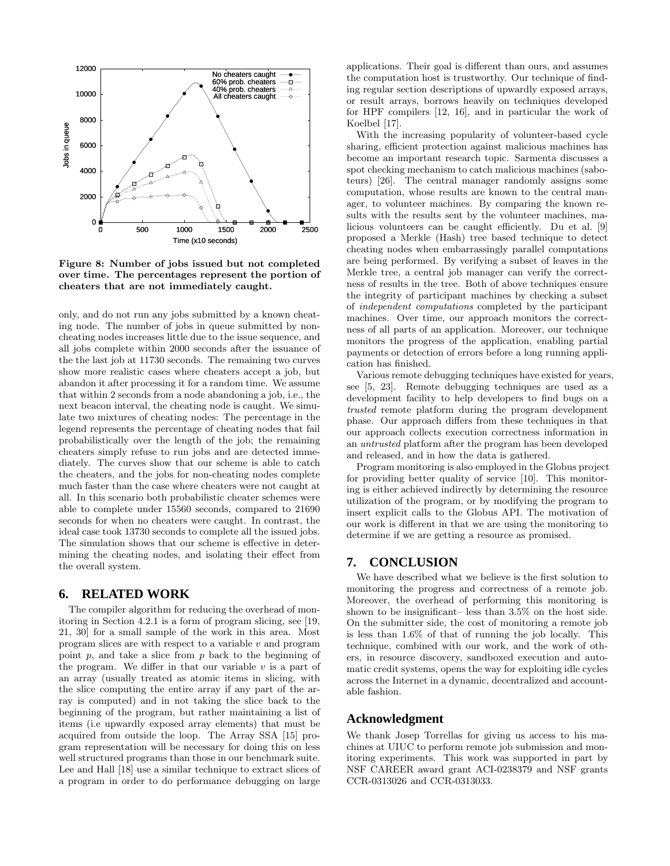

Figure 8: Number of jobs issued but not completed over time. The percentages represent the portion of cheaters that are not immediately caught.

only, and do not run any jobs submitted by a known cheating node. The number of jobs in queue submitted by noncheating nodes increases little due to the issue sequence, and all jobs complete within 2000 seconds after the issuance of the the last job at 11730 seconds. The remaining two curves show more realistic cases where cheaters accept a job, but abandon it after processing it for a random time. We assume that within 2 seconds from a node abandoning a job, i.e., the next beacon interval, the cheating node is caught. We simulate two mixtures of cheating nodes: The percentage in the legend represents the percentage of cheating nodes that fail probabilistically over the length of the job; the remaining cheaters simply refuse to run jobs and are detected immediately. The curves show that our scheme is able to catch the cheaters, and the jobs for non-cheating nodes complete much faster than the case where cheaters were not caught at all. In this scenario both probabilistic cheater schemes were able to complete under 15560 seconds, compared to 21690 seconds for when no cheaters were caught. In contrast, the ideal case took 13730 seconds to complete all the issued jobs. The simulation shows that our scheme is effective in determining the cheating nodes, and isolating their effect from the overall system.

# **6. RELATED WORK**

The compiler algorithm for reducing the overhead of monitoring in Section 4.2.1 is a form of program slicing, see [19, 21, 30] for a small sample of the work in this area. Most program slices are with respect to a variable  $v$  and program point  $p$ , and take a slice from  $p$  back to the beginning of the program. We differ in that our variable  $v$  is a part of an array (usually treated as atomic items in slicing, with the slice computing the entire array if any part of the array is computed) and in not taking the slice back to the beginning of the program, but rather maintaining a list of items (i.e upwardly exposed array elements) that must be acquired from outside the loop. The Array SSA [15] program representation will be necessary for doing this on less well structured programs than those in our benchmark suite. Lee and Hall [18] use a similar technique to extract slices of a program in order to do performance debugging on large

applications. Their goal is different than ours, and assumes the computation host is trustworthy. Our technique of finding regular section descriptions of upwardly exposed arrays, or result arrays, borrows heavily on techniques developed for HPF compilers [12, 16], and in particular the work of Koelbel [17].

With the increasing popularity of volunteer-based cycle sharing, efficient protection against malicious machines has become an important research topic. Sarmenta discusses a spot checking mechanism to catch malicious machines (saboteurs) [26]. The central manager randomly assigns some computation, whose results are known to the central manager, to volunteer machines. By comparing the known results with the results sent by the volunteer machines, malicious volunteers can be caught efficiently. Du et al. [9] proposed a Merkle (Hash) tree based technique to detect cheating nodes when embarrassingly parallel computations are being performed. By verifying a subset of leaves in the Merkle tree, a central job manager can verify the correctness of results in the tree. Both of above techniques ensure the integrity of participant machines by checking a subset of independent computations completed by the participant machines. Over time, our approach monitors the correctness of all parts of an application. Moreover, our technique monitors the progress of the application, enabling partial payments or detection of errors before a long running application has finished.

Various remote debugging techniques have existed for years, see [5, 23]. Remote debugging techniques are used as a development facility to help developers to find bugs on a trusted remote platform during the program development phase. Our approach differs from these techniques in that our approach collects execution correctness information in an untrusted platform after the program has been developed and released, and in how the data is gathered.

Program monitoring is also employed in the Globus project for providing better quality of service [10]. This monitoring is either achieved indirectly by determining the resource utilization of the program, or by modifying the program to insert explicit calls to the Globus API. The motivation of our work is different in that we are using the monitoring to determine if we are getting a resource as promised.

# **7. CONCLUSION**

We have described what we believe is the first solution to monitoring the progress and correctness of a remote job. Moreover, the overhead of performing this monitoring is shown to be insignificant– less than 3.5% on the host side. On the submitter side, the cost of monitoring a remote job is less than 1.6% of that of running the job locally. This technique, combined with our work, and the work of others, in resource discovery, sandboxed execution and automatic credit systems, opens the way for exploiting idle cycles across the Internet in a dynamic, decentralized and accountable fashion.

## **Acknowledgment**

We thank Josep Torrellas for giving us access to his machines at UIUC to perform remote job submission and monitoring experiments. This work was supported in part by NSF CAREER award grant ACI-0238379 and NSF grants CCR-0313026 and CCR-0313033.